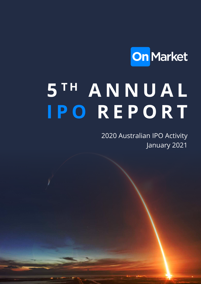

# **5 T H A N N U A L IPO REPORT**

2020 Australian IPO Activity January 2021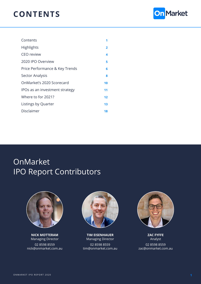#### **CONTENTS**



| Contents                       |    |
|--------------------------------|----|
| <b>Highlights</b>              | 2  |
| <b>CEO</b> review              | 4  |
| 2020 IPO Overview              | 5  |
| Price Performance & Key Trends | 6  |
| <b>Sector Analysis</b>         | 8  |
| OnMarket's 2020 Scorecard      | 10 |
| IPOs as an investment strategy | 11 |
| Where to for 2021?             | 12 |
| Listings by Quarter            | 13 |
| Disclaimer                     | 18 |

## OnMarket IPO Report Contributors



**NICK MOTTERAM** Managing Director

02 8598 8559 nick@onmarket.com.au



**TIM EISENHAUER** Managing Director 02 8598 8559 tim@onmarket.com.au



**ZAC FYFFE** Analyst 02 8598 8559 zac@onmarket.com.au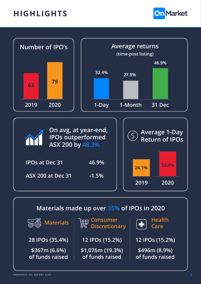#### <span id="page-2-0"></span>**HIGHLIGHTS**





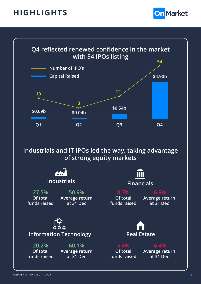#### **HIGHLIGHTS**





**Industrials and IT IPOs led the way, taking advantage of strong equity markets**

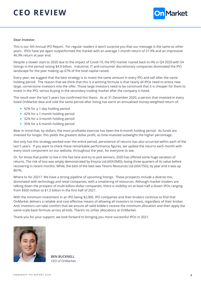## <span id="page-4-0"></span>**CEO REVIEW**



#### **Dear Investor**,

This is our 5th Annual IPO Report. For regular readers it won't surprise you that our message is the same as other years. IPOs have yet again outperformed the market with an average 1-month return of 27.9% and an impressive 46.9% return at year end.

Despite a slower start to 2020 due to the impact of Covid-19, the IPO market roared back to life in Q4 2020 with 54 listings in the period raising \$4.9 billion. Industrial, IT and consumer discretionary companies dominated the IPO landscape for the year making up 67% of the total capital raised.

Every year, we suggest that the best strategy is to invest the same amount in every IPO and sell after the same holding period. The reason that we think that this is a winning formula is that nearly all IPOs need to entice new large, cornerstone investors into the offer. Those large investors need to be convinced that it is cheaper for them to invest in the IPO, versus buying in the secondary trading market after the company is listed.

The result over the last 5 years has confirmed this thesis. As at 31 December 2020, a person that invested in every listed OnMarket deal and sold the same period after listing has earnt an annualised money-weighted return of:

- 92% for a 1-day holding period
- 42% for a 1-month holding period
- 32% for a 3-month holding period
- 35% for a 6-month holding period

Bear in mind that, by dollars, the most profitable exercise has been the 6-month holding period. As funds are invested for longer, this yields the greatest dollar profit, as time-invested outweighs the higher percentage.

Not only has this strategy worked over the entire period, persistence of returns has also occurred within each of the last 5 years. If you want to check these remarkable performance figures, we update the returns each month with every stock component on our website, throughout the year, for everyone to see.

Or, for those that prefer to live in the fast lane and try to pick winners, 2020 has offered some huge variation of returns. The risk of loss was amply demonstrated by Emyria Ltd (ASX:EMD), losing three quarters of its value before recovering in recent months. While, the best of the best was Tesoro Resources Ltd (ASX:TSO), by year end it was up 867%.

Where to for 2021? We have a strong pipeline of upcoming listings. These prospects include a diverse mix, dominated with technology and retail companies, with a smattering of resources. Although market insiders are talking down the prospect of multi-billion-dollar companies, there is visibility on at least half a dozen IPOs ranging from \$500 million to \$1.5 billion in the first half of 2021.

With the minimum investment in an IPO being \$2,000, IPO companies and their brokers continue to find that OnMarket delivers a reliable and cost-effective means of allowing all investors to invest, regardless of their broker. And, investors can take comfort that we ensure all valid bidders receive the minimum allocation and then apply the same scale-back formula across all bids. There's no unfair allocations at OnMarket.

Thank you for your support, we look forward to bringing you more successful IPOs in 2021.



**BEN BUCKNELL** CEO of OnMarket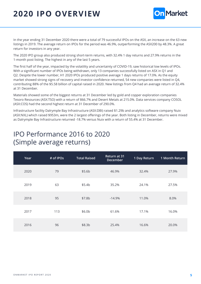# <span id="page-5-0"></span>**2020 IPO OVERVIEW**



In the year ending 31 December 2020 there were a total of 79 successful IPOs on the ASX, an increase on the 63 new listings in 2019. The average return on IPOs for the period was 46.9%, outperforming the ASX200 by 48.3%. A great return for investors in any year.

The 2020 IPO group also produced strong short-term returns, with 32.4% 1 day returns and 27.9% returns in the 1-month post listing. The highest in any of the last 5 years.

The first half of the year, impacted by the volatility and uncertainty of COVID-19, saw historical low levels of IPOs. With a significant number of IPOs being withdrawn, only 13 companies successfully listed on ASX in Q1 and Q2. Despite the lower number, H1 2020 IPOs produced positive average 1 days returns of 17.0%. As the equity market showed strong signs of recovery and investor confidence returned, 54 new companies were listed in Q4, contributing 88% of the \$5.58 billion of capital raised in 2020. New listings from Q4 had an average return of 32.4% at 31 December.

Materials showed some of the biggest returns at 31 December led by gold and copper exploration companies Tesoro Resources (ASX:TSO) with a return of 866.7% and Desert Metals at 215.0%. Data services company COSOL (ASX:COS) had the second highest return at 31 December of 290.0%.

Infrastructure facility Dalrymple Bay Infrastructure (ASX:DBI) raised \$1.29b and analytics software company Nuix (ASX:NXL) which raised \$953m, were the 2 largest offerings of the year. Both listing in December, returns were mixed as Dalrymple Bay Infrastructure returned -18.7% versus Nuix with a return of 55.4% at 31 December.

#### IPO Performance 2016 to 2020 (Simple average returns)

| Year | # of IPOs | <b>Total Raised</b> | Return at 31<br>December | 1 Day Return | 1 Month Return |
|------|-----------|---------------------|--------------------------|--------------|----------------|
| 2020 | 79        | \$5.6 <sub>b</sub>  | 46.9%                    | 32.4%        | 27.9%          |
| 2019 | 63        | \$5.4b              | 35.2%                    | 24.1%        | 27.5%          |
| 2018 | 95        | \$7.8b              | $-14.9%$                 | 11.0%        | 8.0%           |
| 2017 | 113       | \$6.0b              | 61.6%                    | 17.1%        | 16.0%          |
| 2016 | 96        | \$8.3b              | 25.4%                    | 16.6%        | 20.0%          |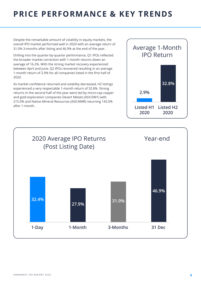#### <span id="page-6-0"></span>**PRICE PERFORMANCE & KEY TRENDS**

Despite the remarkable amount of volatility in equity markets, the overall IPO market performed well in 2020 with an average return of 31.0% 3-months after listing and 46.9% at the end of the year.

Drilling into the quarter-by-quarter performance, Q1 IPOs reflected the broader market correction with 1-month returns down an average of 16.2%. With the strong market recovery experienced between April and June, Q2 IPOs recovered resulting in an average 1-month return of 2.9% for all companies listed in the first half of 2020.

As market confidence returned and volatility decreased, H2 listings experienced a very respectable 1-month return of 32.8%. Strong returns in the second half of the year were led by micro-cap copper and gold exploration companies Desert Metals (ASX:DM1) with 215.0% and Native Mineral Resources (ASX:NMR) returning 145.0% after 1-month.



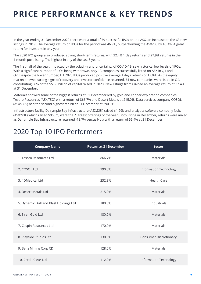## **PRICE PERFORMANCE & KEY TRENDS**

In the year ending 31 December 2020 there were a total of 79 successful IPOs on the ASX, an increase on the 63 new listings in 2019. The average return on IPOs for the period was 46.9%, outperforming the ASX200 by 48.3%. A great return for investors in any year.

The 2020 IPO group also produced strong short-term returns, with 32.4% 1 day returns and 27.9% returns in the 1-month post listing. The highest in any of the last 5 years.

The first half of the year, impacted by the volatility and uncertainty of COVID-19, saw historical low levels of IPOs. With a significant number of IPOs being withdrawn, only 13 companies successfully listed on ASX in Q1 and Q2. Despite the lower number, H1 2020 IPOs produced positive average 1 days returns of 17.0%. As the equity market showed strong signs of recovery and investor confidence returned, 54 new companies were listed in Q4, contributing 88% of the \$5.58 billion of capital raised in 2020. New listings from Q4 had an average return of 32.4% at 31 December.

Materials showed some of the biggest returns at 31 December led by gold and copper exploration companies Tesoro Resources (ASX:TSO) with a return of 866.7% and Desert Metals at 215.0%. Data services company COSOL (ASX:COS) had the second highest return at 31 December of 290.0%.

Infrastructure facility Dalrymple Bay Infrastructure (ASX:DBI) raised \$1.29b and analytics software company Nuix (ASX:NXL) which raised \$953m, were the 2 largest offerings of the year. Both listing in December, returns were mixed as Dalrymple Bay Infrastructure returned -18.7% versus Nuix with a return of 55.4% at 31 December.

#### 2020 Top 10 IPO Performers

| <b>Company Name</b>                     | <b>Return at 31 December</b> | <b>Sector</b>                 |
|-----------------------------------------|------------------------------|-------------------------------|
| 1. Tesoro Resources Ltd                 | 866.7%                       | <b>Materials</b>              |
| 2. COSOL Ltd                            | 290.0%                       | Information Technology        |
| 3. 4DMedical Ltd                        | 232.9%                       | <b>Health Care</b>            |
| 4. Desert Metals Ltd                    | 215.0%                       | <b>Materials</b>              |
| 5. Dynamic Drill and Blast Holdings Ltd | 180.0%                       | Industrials                   |
| 6. Siren Gold Ltd                       | 180.0%                       | <b>Materials</b>              |
| 7. Caspin Resources Ltd                 | 170.0%                       | <b>Materials</b>              |
| 8. Playside Studios Ltd                 | 130.0%                       | <b>Consumer Discretionary</b> |
| 9. Benz Mining Corp CDI                 | 128.0%                       | Materials                     |
| 10. Credit Clear Ltd                    | 112.9%                       | Information Technology        |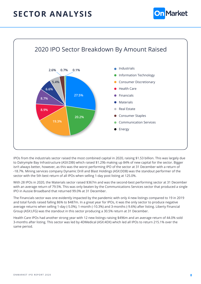#### <span id="page-8-0"></span>**SECTOR ANALYSIS**





IPOs from the industrials sector raised the most combined capital in 2020, raising \$1.53 billion. This was largely due to Dalrymple Bay Infrastructure (ASX:DBI) which raised \$1.29b making up 84% of new capital for the sector. Bigger isn't always better, however, as this was the worst performing IPO of the sector at 31 December with a return of -18.7%. Mining services company Dynamic Drill and Blast Holdings (ASX:DDB) was the standout performer of the sector with the 5th best return of all IPOs when selling 1-day post listing at 125.0%.

With 28 IPOs in 2020, the Materials sector raised \$367m and was the second-best performing sector at 31 December with an average return of 79.5%. This was only beaten by the Communications Services sector that produced a single IPO in Aussie Broadband that returned 99.0% at 31 December.

The Financials sector was one evidently impacted by the pandemic with only 4 new listings compared to 19 in 2019 and total funds raised falling 86% to \$487m. In a great year for IPOs, it was the only sector to produce negative average returns when selling 1-day (-5.0%), 1-month (-10.3%) and 3-months (-9.6%) after listing. Liberty Financial Group (ASX:LFG) was the standout in this sector producing a 30.5% return at 31 December.

Health Care IPOs had another strong year with 12 new listings raising \$496m and an average return of 44.0% sold 3-months after listing. This sector was led by 4DMedical (ASX:4DX) which led all IPOs to return 215.1% over the same period.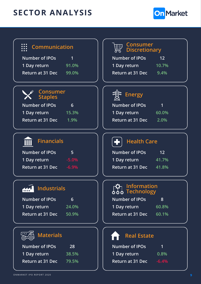# **SECTOR ANALYSIS**



| Communication                                                | <b>Consumer</b><br><b>Discretionary</b>                        |
|--------------------------------------------------------------|----------------------------------------------------------------|
| <b>Number of IPOs</b>                                        | Number of IPOs                                                 |
| 1                                                            | 12                                                             |
| 1 Day return                                                 | 1 Day return                                                   |
| 91.0%                                                        | 10.7%                                                          |
| Return at 31 Dec 99.0%                                       | <b>Return at 31 Dec</b><br>9.4%                                |
| <u>Consumer</u><br><b>Staples</b>                            | Energy                                                         |
| <b>Number of IPOs</b>                                        | <b>Number of IPOs</b>                                          |
| 6                                                            | 1                                                              |
| 1 Day return                                                 | 1 Day return                                                   |
| $-15.3%$                                                     | 60.0%                                                          |
| <b>Return at 31 Dec</b>                                      | <b>Return at 31 Dec</b>                                        |
| 1.9%                                                         | 2.0%                                                           |
| <b>Financials</b><br><b>Number of IPOs</b><br>5 <sup>1</sup> | <b>Health Care</b><br>52<br>Number of IPOs<br>12               |
| 1 Day return                                                 | 1 Day return                                                   |
| $-5.0%$                                                      | 41.7%                                                          |
| <b>Return at 31 Dec</b>                                      | <b>Return at 31 Dec</b>                                        |
| $-6.9%$                                                      | 41.8%                                                          |
| <b>Industrials</b>                                           | <u>Information</u><br>$\phi \ddot{\phi} \dot{\phi}$ Technology |
| <b>Number of IPOs</b>                                        | <b>Number of IPOs</b>                                          |
| $6\phantom{1}$                                               | 8                                                              |
| 1 Day return                                                 | 1 Day return                                                   |
| 24.0%                                                        | 60.8%                                                          |
| Return at 31 Dec                                             | <b>Return at 31 Dec</b>                                        |
| 50.9%                                                        | 60.1%                                                          |
| <b>Materials</b>                                             | <b>Real Estate</b>                                             |
| <b>Number of IPOs</b>                                        | <b>Number of IPOs</b>                                          |
| 28                                                           | 1                                                              |

| <b>Number of IPOs</b>   | 1       |
|-------------------------|---------|
| 1 Day return            | 0.8%    |
| <b>Return at 31 Dec</b> | $-6.4%$ |

**1 Day return 38.5%**

**Return at 31 Dec 79.5%**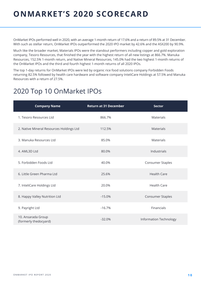#### <span id="page-10-0"></span>**ONMARKET'S 2020 SCORECARD**

OnMarket IPOs performed well in 2020, with an average 1-month return of 17.6% and a return of 89.5% at 31 December. With such as stellar return, OnMarket IPOs outperformed the 2020 IPO market by 42.6% and the ASX200 by 90.9%.

Much like the broader market, Materials IPOs were the standout performers including copper and gold exploration company, Tesoro Resources, that finished the year with the highest return of all new listings at 866.7%. Manuka Resources, 152.5% 1-month return, and Native Mineral Resources, 145.0% had the two highest 1-month returns of the OnMarket IPOs and the third and fourth highest 1-month returns of all 2020 IPOs.

The top 1-day returns for OnMarket IPOs were led by organic rice food solutions company Forbidden Foods returning 82.5% followed by health care hardware and software company InteliCare Holdings at 57.5% and Manuka Resources with a return of 27.5%.

#### 2020 Top 10 OnMarket IPOs

| <b>Company Name</b>                         | <b>Return at 31 December</b> | <b>Sector</b>                 |
|---------------------------------------------|------------------------------|-------------------------------|
| 1. Tesoro Resources Ltd                     | 866.7%                       | <b>Materials</b>              |
| 2. Native Mineral Resources Holdings Ltd    | 112.5%                       | <b>Materials</b>              |
| 3. Manuka Resources Ltd                     | 85.0%                        | <b>Materials</b>              |
| 4. AML3D Ltd                                | 80.0%                        | Industrials                   |
| 5. Forbidden Foods Ltd                      | 40.0%                        | Consumer Staples              |
| 6. Little Green Pharma Ltd                  | 25.6%                        | <b>Health Care</b>            |
| 7. InteliCare Holdings Ltd                  | 20.0%                        | <b>Health Care</b>            |
| 8. Happy Valley Nutrition Ltd               | $-15.0%$                     | Consumer Staples              |
| 9. Payright Ltd                             | $-16.7%$                     | Financials                    |
| 10. Ansarada Group<br>(formerly thedocyard) | $-32.0%$                     | <b>Information Technology</b> |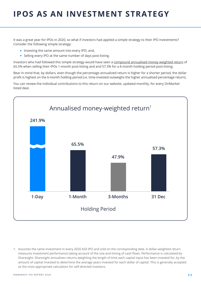## <span id="page-11-0"></span>**IPOS AS AN INVESTMENT STRATEGY**

It was a great year for IPOs in 2020, so what if investors had applied a simple strategy to their IPO investments? Consider the following simple strategy:

- Investing the same amount into every IPO; and,
- Selling every IPO at the same number of days post-listing.

Investors who had followed this simple strategy would have seen a [compound annualised money weighted return](https://help.sharesight.com/au/performance_calculation_method/) of 65.5% when selling their IPOs 1-month post-listing and and 57.3% for a 6-month holding period post-listing.

Bear in mind that, by dollars, even though the percentage annualized return is higher for a shorter period, the dollar profit is highest on the 6-month holding period (i.e. time-invested outweighs the higher annualised percentage return).

You can review the individual contributions to this return on our website, updated monthly, for every OnMarket listed deal.



1. Assumes the same investment in every 2020 ASX IPO and sold on the corresponding date. A dollar-weighted return measures investment performance taking account of the size and timing of cash flows. Performance is calculated by Sharesight. Sharesight annualises returns weighting the length of time each capital input has been invested for, by the amount of capital invested to determine the average years invested for each dollar of capital. This is generally accepted as the most appropriate calculation for self-directed investors.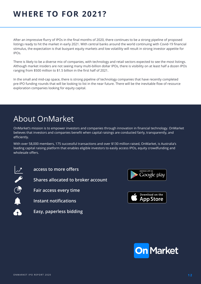#### <span id="page-12-0"></span>**WHERE TO FOR 2021?**

After an impressive flurry of IPOs in the final months of 2020, there continues to be a strong pipeline of proposed listings ready to hit the market in early 2021. With central banks around the world continuing with Covid-19 financial stimulus, the expectation is that buoyant equity markets and low volatility will result in strong investor appetite for IPOs.

There is likely to be a diverse mix of companies, with technology and retail sectors expected to see the most listings. Although market insiders are not seeing many multi-billion dollar IPOs, there is visibility on at least half a dozen IPOs ranging from \$500 million to \$1.5 billion in the first half of 2021.

In the small and mid-cap space, there is strong pipeline of technology companies that have recently completed pre-IPO funding rounds that will be looking to list in the near future. There will be the inevitable flow of resource exploration companies looking for equity capital.

#### About OnMarket

OnMarket's mission is to empower investors and companies through innovation in financial technology. OnMarket believes that investors and companies benefit when capital raisings are conducted fairly, transparently, and efficiently.

With over 58,000 members, 175 successful transactions and over \$130 million raised, OnMarket, is Australia's leading capital raising platform that enables eligible investors to easily access IPOs, equity crowdfunding and wholesale offers.



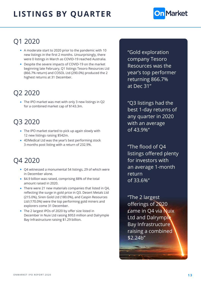

#### <span id="page-13-0"></span>Q1 2020

- A moderate start to 2020 prior to the pandemic with 10 new listings in the first 2 months. Unsurprisingly, there were 0 listings in March as COVID-19 reached Australia.
- Despite the severe impacts of COVID-19 on the market beginning late February, Q1 listings Tesoro Resources Ltd (866.7% return) and COSOL Ltd (290.0%) produced the 2 highest returns at 31 December.

#### Q2 2020

• The IPO market was met with only 3 new listings in Q2 for a combined market cap of \$143.3m.

#### Q3 2020

- The IPO market started to pick up again slowly with 12 new listings raising \$542m.
- 4DMedical Ltd was the year's best performing stock 3 months post listing with a return of 232.9%.

#### Q4 2020

- Q4 witnessed a monumental 54 listings, 29 of which were in December alone.
- \$4.9 billion was raised, comprising 88% of the total amount raised in 2020.
- There were 21 new materials companies that listed in Q4, reflecting the surge in gold price in Q3. Desert Metals Ltd (215.0%), Siren Gold Ltd (180.0%), and Caspin Resources Ltd (170.0%) were the top performing gold miners and explorers come 31 December.
- The 2 largest IPOs of 2020 by offer size listed in December in Nuix Ltd raising \$953 million and Dalrymple Bay Infrastructure raising \$1.29 billion.

"Gold exploration company Tesoro Resources was the year's top performer returning 866.7% at Dec 31"

"Q3 listings had the best 1-day returns of any quarter in 2020 with an average of 43.9%"

"The flood of Q4 listings offered plenty for investors with an average 1-month return of 33.6%"

"The 2 largest offerings of 2020 came in Q4 via Nuix Ltd and Dalrymple Bay Infrastructure raising a combined \$2.24b"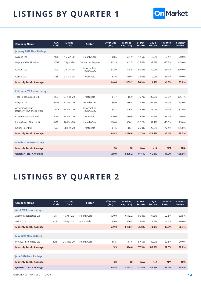

| <b>Company Name</b>                         | <b>ASX</b><br>Code | <b>Listing</b><br><b>Date</b> | Sector                    | <b>Offer Size</b><br>(5m) | <b>Market</b><br>cap. (\$m) | 31 Dec<br>Return | Day 1<br>Return | 1 Month<br><b>Return</b> | 3 Month<br><b>Return</b> |
|---------------------------------------------|--------------------|-------------------------------|---------------------------|---------------------------|-----------------------------|------------------|-----------------|--------------------------|--------------------------|
| <b>January 2020 New Listings</b>            |                    |                               |                           |                           |                             |                  |                 |                          |                          |
| Nyrada Inc                                  | <b>NYR</b>         | 16-Jan-20                     | <b>Health Care</b>        | \$8.5                     | \$21.9                      | 17.5%            | 5.0%            | $-27.5%$                 | 20.0%                    |
| Happy Valley Nutrition Ltd                  | <b>HVM</b>         | 23-Jan-20                     | Consumer Staples          | \$12.5                    | \$42.5                      | $-25.0%$         | $-7.5%$         | $-17.5%$                 | $-15.0%$                 |
| COSOL Ltd                                   | COS                | 24-Jan-20                     | Information<br>Technology | \$12.0                    | \$25.5                      | 90.0%            | 70.0%           | 50.0%                    | 290.0%                   |
| Cobre Ltd                                   | CBE                | $31$ -Jan-20                  | Materials                 | \$7.6                     | \$19.4                      | 25.0%            | 10.0%           | $-10.0%$                 | 40.0%                    |
| <b>Monthly Total / Average</b>              |                    |                               |                           | \$40.6                    | \$109.2                     | 26.9%            | 19.4%           | $-1.3%$                  | 83.8%                    |
|                                             |                    |                               |                           |                           |                             |                  |                 |                          |                          |
| <b>February 2020 New Listings</b>           |                    |                               |                           |                           |                             |                  |                 |                          |                          |
| <b>Tesoro Resources Ltd</b>                 | <b>TSO</b>         | 07-Feb-20                     | Materials                 | \$4.7                     | \$5.9                       | $-6.7%$          | 23.3%           | 53.3%                    | 866.7%                   |
| Emyria Ltd                                  | <b>EMD</b>         | 12-Feb-20                     | <b>Health Care</b>        | \$6.0                     | \$36.8                      | $-27.5%$         | $-67.5%$        | $-70.0%$                 | $-54.0%$                 |
| Ansarada Group<br>(formerly TDY thedocyard) | <b>AND</b>         | 14-Feb-20                     | Information<br>Technology | \$4.2                     | \$26.5                      | 22.5%            | $-35.0%$        | $-20.0%$                 | $-32.0%$                 |
| Castile Resources Ltd                       | <b>CST</b>         | 14-Feb-20                     | Materials                 | \$20.0                    | \$39.9                      | $-5.0%$          | $-42.5%$        | $-35.0%$                 | 40.0%                    |
| Little Green Pharma Ltd                     | LGP                | 20-Feb-20                     | <b>Health Care</b>        | \$10.0                    | \$60.1                      | $-22.2%$         | $-51.1%$        | $-13.3%$                 | 25.6%                    |
| Kaiser Reef Ltd                             | KAU                | 28-Feb-20                     | Materials                 | \$4.5                     | \$6.7                       | 25.0%            | $-27.5%$        | 42.5%                    | 105.0%                   |
| <b>Monthly Total / Average</b>              |                    |                               |                           | \$49.3                    | \$176.0                     | $-2.3%$          | $-33.4%$        | $-7.1%$                  | 158.5%                   |
|                                             |                    |                               |                           |                           |                             |                  |                 |                          |                          |
| <b>March 2020 New Listings</b>              |                    |                               |                           |                           |                             |                  |                 |                          |                          |
| <b>Monthly Total / Average</b>              |                    |                               |                           | \$0                       | \$0                         | N/A              | N/A             | N/A                      | N/A                      |
| <b>Quarter Total / Average</b>              |                    |                               |                           | \$89.9                    | \$285.2                     | 11.1%            | $-16.2%$        | $-11.2%$                 | 128.6%                   |

#### **LISTINGS BY QUARTER 2**

| <b>Company Name</b>            | <b>ASX</b><br>Code | <b>Listing</b><br><b>Date</b> | <b>Sector</b>      | <b>Offer Size</b><br>\$m\$ | <b>Market</b><br>cap. $(\$m)$ | 31 Dec<br>Return | Day 1<br><b>Return</b> | 1 Month<br>Return | 3 Month<br>Return |
|--------------------------------|--------------------|-------------------------------|--------------------|----------------------------|-------------------------------|------------------|------------------------|-------------------|-------------------|
| <b>April 2020 New Listings</b> |                    |                               |                    |                            |                               |                  |                        |                   |                   |
| Atomo Diagnostics Ltd          | AT1                | 16-Apr-20                     | <b>Health Care</b> | \$30.0                     | \$112.2                       | 95.0%            | 97.5%                  | 92.5%             | 52.5%             |
| AML3D Ltd                      | AL3                | 20-Apr-20                     | Industrials        | \$9.0                      | \$26.5                        | $-25.0%$         | $-17.5%$               | $-5.0%$           | 80.0%             |
| <b>Monthly Total / Average</b> |                    |                               |                    | \$39.0                     | \$138.7                       | 35.0%            | 40.0%                  | 43.8%             | 66.3%             |
|                                |                    |                               |                    |                            |                               |                  |                        |                   |                   |
| <b>May 2020 New Listings</b>   |                    |                               |                    |                            |                               |                  |                        |                   |                   |
| InteliCare Holdings Ltd        | <b>ICR</b>         | 25-May-20                     | <b>Health Care</b> | \$5.5                      | \$14.6                        | 57.5%            | 80.0%                  | 82.5%             | 20.0%             |
| <b>Monthly Total / Average</b> |                    |                               |                    | 5.5                        | \$14.6                        | 57.5%            | 80.0%                  | 82.5%             | 20.0%             |
|                                |                    |                               |                    |                            |                               |                  |                        |                   |                   |
| <b>June 2020 New Listings</b>  |                    |                               |                    |                            |                               |                  |                        |                   |                   |
| <b>Monthly Total / Average</b> |                    |                               |                    | \$0                        | \$0                           | N/A              | N/A                    | N/A               | N/A               |
| <b>Quarter Total / Average</b> |                    |                               |                    | \$44.5                     | \$153.3                       | 42.5%            | 53.3%                  | 56.7%             | 50.8%             |

ONMARKET IPO REPORT 2020 **1 4**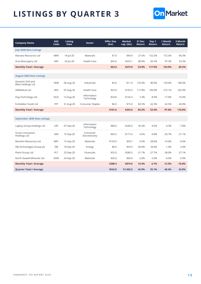

| <b>Company Name</b>                            | <b>ASX</b><br>Code | <b>Listing</b><br><b>Date</b> | <b>Sector</b>             | <b>Offer Size</b><br>(5m) | <b>Market</b><br>$cap.$ (\$m) | 31 Dec<br>Return | Day 1<br>Return | 1 Month<br><b>Return</b> | 3 Month<br><b>Return</b> |
|------------------------------------------------|--------------------|-------------------------------|---------------------------|---------------------------|-------------------------------|------------------|-----------------|--------------------------|--------------------------|
| <b>July 2020 New Listings</b>                  |                    |                               |                           |                           |                               |                  |                 |                          |                          |
| Manuka Resources Ltd                           | <b>MKR</b>         | 14-Jul-20                     | Materials                 | \$7.0                     | \$49.9                        | 27.5%            | 152.5%          | 172.5%                   | 85.0%                    |
| Aroa Biosurgery Ltd                            | <b>ARX</b>         | 24-Jul-20                     | <b>Health Care</b>        | \$45.0                    | \$225.1                       | 80.0%            | 83.3%           | 97.3%                    | 53.3%                    |
| <b>Monthly Total / Average</b>                 |                    |                               |                           | \$52.0                    | \$274.9                       | 53.8%            | 117.9%          | 134.9%                   | 69.2%                    |
|                                                |                    |                               |                           |                           |                               |                  |                 |                          |                          |
| <b>August 2020 New Listings</b>                |                    |                               |                           |                           |                               |                  |                 |                          |                          |
| Dynamic Drill and<br><b>Blast Holdings Ltd</b> | <b>DDB</b>         | 06-Aug-20                     | Industrials               | \$5.0                     | \$11.0                        | 125.0%           | 80.0%           | 150.0%                   | 180.0%                   |
| 4DMedical Ltd                                  | 4DX                | 07-Aug-20                     | <b>Health Care</b>        | \$55.8                    | \$193.3                       | 117.8%           | 100.0%          | 215.1%                   | 232.9%                   |
| Dug Technology Ltd                             | <b>DUG</b>         | 12-Aug-20                     | Information<br>Technology | \$34.8                    | \$134.3                       | 7.4%             | $-8.9%$         | $-17.0%$                 | $-10.4%$                 |
| Forbidden Foods Ltd                            | FFF                | 31-Aug-20                     | <b>Consumer Staples</b>   | \$6.0                     | \$15.0                        | 82.5%            | 42.5%           | 42.5%                    | 40.0%                    |
| <b>Monthly Total / Average</b>                 |                    |                               |                           | \$101.6                   | \$353.6                       | 83.2%            | 53.4%           | 97.6%                    | 110.6%                   |
|                                                |                    |                               |                           |                           |                               |                  |                 |                          |                          |
| <b>September 2020 New Listings</b>             |                    |                               |                           |                           |                               |                  |                 |                          |                          |
| Laybuy Group Holdings Ltd                      | LBY                | 07-Sep-20                     | Information<br>Technology | \$80.0                    | \$246.0                       | 45.4%            | 8.5%            | $-4.3%$                  | $-7.8%$                  |
| <b>Access Innovation</b><br>Holdings Ltd       | AIM                | 15-Sep-20                     | Consumer<br>Discretionary | \$65.5                    | \$177.6                       | 4.5%             | $-9.8%$         | $-20.7%$                 | $-21.1%$                 |
| Montem Resources Ltd                           | MR1                | 15-Sep-20                     | Materials                 | \$159.9                   | \$50.7                        | 0.0%             | $-28.0%$        | $-10.0%$                 | $-6.0%$                  |
| SRJ Technologies Group plc                     | SRJ                | 18-Sep-20                     | Energy                    | \$8.0                     | \$59.5                        | 60.0%            | 34.0%           | $-1.0%$                  | 2.0%                     |
| Plenti Group Ltd                               | PLT                | 23-Sep-20                     | Financials                | \$55.0                    | \$280.3                       | $-21.7%$         | $-27.7%$        | $-38.0%$                 | $-27.1%$                 |
| North Stawell Minerals Ltd                     | <b>NSM</b>         | 24-Sep-20                     | Materials                 | \$20.0                    | \$60.0                        | $-2.0%$          | $-5.0%$         | $-6.0%$                  | $-5.0%$                  |
| <b>Monthly Total / Average</b>                 |                    |                               |                           | \$388.4                   | \$874.0                       | 14.4%            | $-4.7%$         | $-13.3%$                 | $-10.8%$                 |
| <b>Quarter Total / Average</b>                 |                    |                               |                           | \$542.0                   | \$1,502.5                     | 43.9%            | 35.1%           | 48.4%                    | 43.0%                    |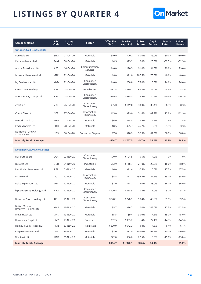

| <b>Company Name</b>                        | <b>ASX</b><br>Code | <b>Listing</b><br><b>Date</b> | <b>Sector</b>             | <b>Offer Size</b><br>\$m\$ | <b>Market</b><br>cap. (\$m) | 31 Dec<br>Return | Day 1<br>Return | 1 Month<br>Return | 3 Month<br>Return |
|--------------------------------------------|--------------------|-------------------------------|---------------------------|----------------------------|-----------------------------|------------------|-----------------|-------------------|-------------------|
| <b>October 2020 New Listings</b>           |                    |                               |                           |                            |                             |                  |                 |                   |                   |
| iren Gold Ltd                              | <b>SNG</b>         | 07-Oct-20                     | Materials                 | \$10.0                     | \$20.2                      | 80.0%            | 76.0%           | 180.0%            | 180.0%            |
| Pan Asia Metals Ltd                        | PAM                | 08-Oct-20                     | Materials                 | \$4.3                      | \$25.2                      | 0.0%             | $-20.0%$        | $-32.5%$          | $-32.5%$          |
| Aussie Broadband Ltd                       | ABB                | 16-Oct-20                     | Communication<br>Services | \$40.0                     | \$190.3                     | 91.0%            | 94.5%           | 99.0%             | 99.0%             |
| Miramar Resources Ltd                      | M <sub>2</sub> R   | 22-Oct-20                     | Materials                 | \$8.0                      | \$11.0                      | 107.5%           | 70.0%           | 40.0%             | 40.0%             |
| MyDeal.com.au Ltd                          | <b>MYD</b>         | 22-Oct-20                     | Consumer<br>Discretionary | \$40.0                     | \$258.8                     | 75.0%            | 16.5%           | 24.0%             | 24.0%             |
| Cleanspace Holdings Ltd                    | <b>CSX</b>         | 23-Oct-20                     | <b>Health Care</b>        | \$131.4                    | \$339.7                     | 68.3%            | 39.0%           | 48.8%             | 48.8%             |
| Adore Beauty Group Ltd                     | ABY                | 23-Oct-20                     | Consumer<br>Discretionary | \$269.5                    | \$635.3                     | 2.5%             | $-0.9%$         | $-20.3%$          | $-20.3%$          |
| Zebit Inc                                  | ZBT                | 26-Oct-20                     | Consumer<br>Discretionary | \$35.0                     | \$149.0                     | $-33.9%$         | $-36.4%$        | $-38.3%$          | $-38.3%$          |
| Credit Clear Ltd                           | <b>CCR</b>         | 27-Oct-20                     | Information<br>Technology | \$15.0                     | \$79.0                      | 31.4%            | 102.9%          | 112.9%            | 112.9%            |
| Megado Gold Ltd                            | <b>MEG</b>         | 27-Oct-20                     | Materials                 | \$6.0                      | \$14.3                      | 27.5%            | $-12.5%$        | 2.5%              | 2.5%              |
| Coda Minerals Ltd                          | COD                | 28-Oct-20                     | Materials                 | \$8.5                      | \$25.7                      | 46.7%            | 5.0%            | $-3.3%$           | $-3.3%$           |
| <b>Nutritional Growth</b><br>Solutions Ltd | <b>NGS</b>         | 30-Oct-20                     | Consumer Staples          | \$7.0                      | \$18.9                      | 52.5%            | 62.5%           | 30.0%             | 30.0%             |
| <b>Monthly Total / Average</b>             |                    |                               |                           | \$574.7                    | \$1,767.5                   | 45.7%            | 33.0%           | 36.9%             | 36.9%             |
|                                            |                    |                               |                           |                            |                             |                  |                 |                   |                   |
| <b>November 2020 New Listings</b>          |                    |                               |                           |                            |                             |                  |                 |                   |                   |
| Dusk Group Ltd                             | <b>DSK</b>         | 02-Nov-20                     | Consumer<br>Discretionary | \$70.0                     | \$124.5                     | $-15.5%$         | $-14.0%$        | 1.0%              | 1.0%              |
| Duratec Ltd                                | <b>DUR</b>         | 04-Nov-20                     | Industrials               | \$52.9                     | \$118.7                     | 21.0%            | 20.0%           | 18.0%             | 18.0%             |
| Pathfinder Resources Ltd                   | PF <sub>1</sub>    | 04-Nov-20                     | Materials                 | \$6.0                      | \$11.6                      | $-7.5%$          | 0.0%            | 17.5%             | 17.5%             |
| DC Two Ltd                                 | DC <sub>2</sub>    | 10-Nov-20                     | Information<br>Technology | \$5.5                      | \$11.7                      | 192.5%           | 42.5%           | 35.0%             | 35.0%             |
| Duke Exploration Ltd                       | <b>DEX</b>         | 10-Nov-20                     | Materials                 | \$8.0                      | \$18.7                      | 6.0%             | 58.0%           | 36.0%             | 36.0%             |
| hipages Group Holdings Ltd                 | <b>HPG</b>         | 12-Nov-20                     | Consumer<br>Discretionary | \$100.4                    | \$318.5                     | 0.4%             | $-11.0%$        | $-5.7\%$          | $-5.7%$           |
| Universal Store Holdings Ltd               | UNI                | 16-Nov-20                     | Consumer<br>Discretionary | \$278.1                    | \$278.1                     | 18.4%            | 45.0%           | 39.5%             | 39.5%             |
| Native Mineral<br>Resurces Holdings Ltd    | <b>NMR</b>         | 16-Nov-20                     | Materials                 | \$5.7                      | \$16.7                      | 0.0%             | 145.0%          | 112.5%            | 112.5%            |
| Metal Hawk Ltd                             | <b>MHK</b>         | 19-Nov-20                     | Materials                 | \$5.5                      | \$9.4                       | 30.0%            | 17.5%           | 15.0%             | 15.0%             |
| Harmoney Corp Ltd                          | <b>HMY</b>         | 19-Nov-20                     | Financials                | \$92.5                     | \$353.2                     | $-1.4%$          | $-27.1%$        | $-14.3%$          | $-14.3%$          |
| HomeCo Daily Needs REIT                    | <b>HDN</b>         | 23-Nov-20                     | <b>Real Estate</b>        | \$300.0                    | \$642.3                     | 0.8%             | $-7.5%$         | $-6.4%$           | $-6.4%$           |
| Caspin Resources Ltd                       | <b>CPN</b>         | 25-Nov-20                     | Materials                 | \$8.0                      | \$12.0                      | 130.0%           | 192.5%          | 170.0%            | 170.0%            |
| WA Kaolin Ltd                              | <b>WAK</b>         | 26-Nov-20                     | Materials                 | \$22.0                     | \$56.6                      | 22.5%            | $-15.0%$        | $-15.0%$          | $-15.0%$          |
| <b>Monthly Total / Average</b>             |                    |                               |                           | \$954.7                    | \$1,972.1                   | 30.6%            | 34.3%           |                   | 31.0%             |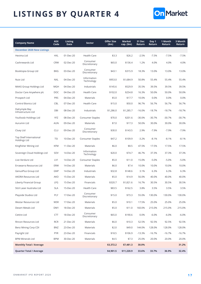

| <b>Company Name</b>                     | <b>ASX</b><br>Code | <b>Listing</b><br><b>Date</b> | Sector                    | <b>Offer Size</b><br>\$m\$ | <b>Market</b><br>cap. (\$m) | 31 Dec<br>Return | Day 1<br>Return | 1 Month<br>Return | 3 Month<br>Return |
|-----------------------------------------|--------------------|-------------------------------|---------------------------|----------------------------|-----------------------------|------------------|-----------------|-------------------|-------------------|
| <b>December 2020 New Listings</b>       |                    |                               |                           |                            |                             |                  |                 |                   |                   |
| Hexima Ltd                              | <b>HXL</b>         | 01-Dec-20                     | <b>Health Care</b>        | \$3.3                      | \$26.2                      | $-2.5%$          | $-7.5%$         | $-7.5%$           | $-7.5%$           |
| Cashrewards Ltd                         | <b>CRW</b>         | 02-Dec-20                     | Consumer<br>Discretionary | \$65.0                     | \$136.4                     | 1.2%             | 4.0%            | 4.0%              | 4.0%              |
| Booktopia Group Ltd                     | <b>BKG</b>         | 03-Dec-20                     | Consumer<br>Discretionary | \$43.1                     | \$315.9                     | 18.3%            | 13.0%           | 13.0%             | 13.0%             |
| Nuix Ltd                                | <b>NXL</b>         | 04-Dec-20                     | Information<br>Technology | \$953.0                    | \$1,684.9                   | 50.8%            | 55.4%           | 55.4%             | 55.4%             |
| <b>MAAS Group Holdings Ltd</b>          | <b>MGH</b>         | 04-Dec-20                     | Industrials               | \$145.6                    | \$529.9                     | 35.5%            | 39.5%           | 39.5%             | 39.5%             |
| Doctor Care Anywhere plc                | <b>DOC</b>         | 04-Dec-20                     | <b>Health Care</b>        | \$102.0                    | \$254.8                     | 16.3%            | 50.0%           | 50.0%             | 50.0%             |
| Prospech Ltd                            | PRS                | 04-Dec-20                     | Materials                 | \$5.0                      | \$17.7                      | 10.0%            | 0.0%            | 0.0%              | 0.0%              |
| Control Bionics Ltd                     | CBL                | 07-Dec-20                     | <b>Health Care</b>        | \$15.0                     | \$50.0                      | 96.7%            | 56.7%           | 56.7%             | 56.7%             |
| Dalrymple Bay<br>Infrastructure Ltd     | DBI                | 08-Dec-20                     | Industrials               | \$1,286.0                  | \$1,285.7                   | $-16.0%$         | $-18.7%$        | $-18.7%$          | $-18.7%$          |
| Youfoodz Holdings Ltd                   | YFZ                | 08-Dec-20                     | Consumer Staples          | \$70.0                     | \$201.6                     | $-30.0%$         | $-30.7%$        | $-30.7%$          | $-30.7%$          |
| Aurumin Ltd                             | <b>AUN</b>         | 09-Dec-20                     | Materials                 | \$7.0                      | \$17.3                      | 50.0%            | 30.0%           | 30.0%             | 30.0%             |
| Cluey Ltd                               | <b>CLU</b>         | 09-Dec-20                     | Consumer<br>Discretionary | \$30.0                     | \$143.5                     | 2.9%             | $-7.9%$         | $-7.9%$           | $-7.9%$           |
| Top Shelf International<br>Holdings Ltd | <b>TSI</b>         | 10-Dec-20                     | Consumer Staples          | \$47.2                     | \$109.9                     | $-3.2%$          | $-8.1%$         | $-8.1%$           | $-8.1%$           |
| Kingfisher Mining Ltd                   | <b>KFM</b>         | 11-Dec-20                     | Materials                 | \$6.0                      | \$8.5                       | 47.5%            | 17.5%           | 17.5%             | 17.5%             |
| Sovereign Cloud Holdings Ltd            | SOV                | 14-Dec-20                     | Information<br>Technology | \$20.0                     | \$74.7                      | 46.7%            | 37.3%           | 37.3%             | 37.3%             |
| Live Verdure Ltd                        | LV1                | 14-Dec-20                     | Consumer Staples          | \$5.0                      | \$11.0                      | 15.0%            | $-5.0%$         | $-5.0%$           | $-5.0%$           |
| Errawarra Resources Ltd                 | ERW                | 14-Dec-20                     | Materials                 | \$6.0                      | \$7.4                       | 10.0%            | 10.0%           | 10.0%             | 10.0%             |
| GenusPlus Group Ltd                     | GNP                | 14-Dec-20                     | Industrials               | \$32.8                     | \$148.6                     | 3.1%             | 6.3%            | 6.3%              | 6.3%              |
| AKORA Resources Ltd                     | AKO                | 15-Dec-20                     | Materials                 | \$5.0                      | \$14.9                      | 56.0%            | 40.0%           | 40.0%             | 40.0%             |
| Liberty Financial Group                 | <b>LFG</b>         | 15-Dec-20                     | Financials                | \$320.7                    | \$1,821.6                   | 16.7%            | 30.5%           | 30.5%             | 30.5%             |
| SILK Laser Australia Ltd                | <b>SLA</b>         | 15-Dec-20                     | <b>Health Care</b>        | \$83.5                     | \$162.5                     | 3.8%             | 3.5%            | 3.5%              | 3.5%              |
| Playside Studios Ltd                    | PLY                | 17-Dec-20                     | Consumer<br>Discretionary | \$15.0                     | \$73.3                      | 55.0%            | 130.0%          | 130.0%            | 130.0%            |
| Westar Resources Ltd                    | <b>WSR</b>         | 17-Dec-20                     | Materials                 | \$5.0                      | \$10.1                      | 17.5%            | 25.0%           | 25.0%             | 25.0%             |
| Desert Metals Ltd                       | DM1                | 18-Dec-20                     | Materials                 | \$5.0                      | \$11.0                      | 160.0%           | 215.0%          | 215.0%            | 215.0%            |
| Cettire Ltd                             | <b>CTT</b>         | 18-Dec-20                     | Consumer<br>Discretionary | \$65.0                     | \$190.6                     | 0.0%             | $-6.0%$         | $-6.0\%$          | $-6.0\%$          |
| Rincon Resources Ltd                    | <b>RCR</b>         | 21-Dec-20                     | Materials                 | \$6.0                      | \$10.3                      | 52.5%            | 92.5%           | 92.5%             | 92.5%             |
| Benz Mining Corp CDI                    | <b>BNZ</b>         | 23-Dec-20                     | Materials                 | \$2.0                      | \$49.0                      | 144.0%           | 128.0%          | 128.0%            | 128.0%            |
| Payright Ltd                            | <b>PYR</b>         | 23-Dec-20                     | Financials                | \$18.5                     | \$106.9                     | $-13.3%$         | $-16.7%$        | $-16.7%$          | $-16.7%$          |
| <b>BPM Minerals Ltd</b>                 | <b>BPM</b>         | 30-Dec-20                     | Materials                 | \$4.5                      | \$7.3                       | 25.0%            | 20.0%           | 20.0%             | 20.0%             |
| <b>Monthly Total / Average</b>          |                    |                               |                           | \$3,372.2                  | \$7,481.3                   | 30.0%            |                 |                   | 31.2%             |
| <b>Quarter Total / Average</b>          |                    |                               |                           | \$4,901.5                  | \$11,220.9                  | 33.6%            | 33.7%           | 36.9%             | 32.4%             |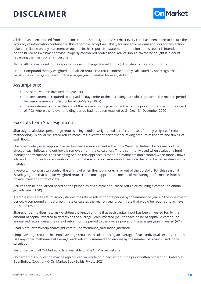## <span id="page-18-0"></span>**DISCLAIMER**



All data has been sourced from Thomson Reuters, Sharesight or ASX. Whilst every care has been taken to ensure the accuracy of information contained in this report, we accept no liability for any error or omission, nor for any action taken in reliance on any statement or opinion in this report. No statement or opinion in this report is intended to be construed as investment advice. Properly considered professional advice should always be sought if in doubt regarding the merits of any investment.

1Note: All data included in the report excludes Exchange Traded Funds (ETFs), debt issues, and spinoffs.

2Note: Compound money-weighted annualised return is a return independently calculated by Sharesight that weighs the capital gains based on the average years invested for every dollar.

#### Assumptions:

- The same value is invested into each IPO
- The investment is required to be paid 20 days prior to the IPO listing date (this represents the median period between payment and listing for all OnMarket IPOs)
- The investment is sold at the end of the relevant holding period at the closing price for that day or (in respect of IPOs where the relevant holding period had not been reached by 31 Dec), 31 December 2020

#### Excerpts from Sharesight.com

**Sharesight** calculates percentage returns using a dollar-weighted (also referred to as a 'money-weighted') return methodology. A dollar-weighted return measures investment performance taking account of the size and timing of cash flows.

The other widely used approach in performance measurement is the Time Weighted Return. In this method the effect of cash inflows and outflows is removed from the calculation. This is commonly used when evaluating fund manager performance. The reasoning behind this approach is that fund managers don't control when money flows into and out of their fund – investors control that – so it is not reasonable to include that effect when evaluating the manager.

Investors, in contrast can control the timing of when they put money in or out of the portfolio. For this reason it is widely agreed that a dollar-weighted return is the most appropriate means of measuring performance from a private investor's point of view.

Returns can be annualised based on the principles of a simple annualised return or by using a compound annual growth rate (CAGR).

A simple annualised return simply divides the rate or return for the period by the number of years in the investment period. A compound annual growth rate calculates the year on year growth rate that would be required to achieve the same result.

**Sharesight** annualises returns weighting the length of time that each capital input has been invested for, by the amount of capital invested to determine the average years invested (AYI) for each dollar of capital. A compound annualised return raises the rate of return for the period to the inverse power of the average years invested (AYI)

Read More: [https://help.sharesight.com/au/performance\\_calculation\\_method/](https://help.sharesight.com/au/performance_calculation_method/)

Simple average return: The simple average return is calculated using an average of each individual security's return. Like any other mathematical average, each return is summed and divided by the number of returns used in the calculation.

Performance of all OnMarket IPOs is available on the OnMarket website.

No part of this publication may be reproduced, in whole or in part, without the prior written consent of On-Market BookBuilds. Copyright © On-Market BookBuilds Pty Ltd 2021.